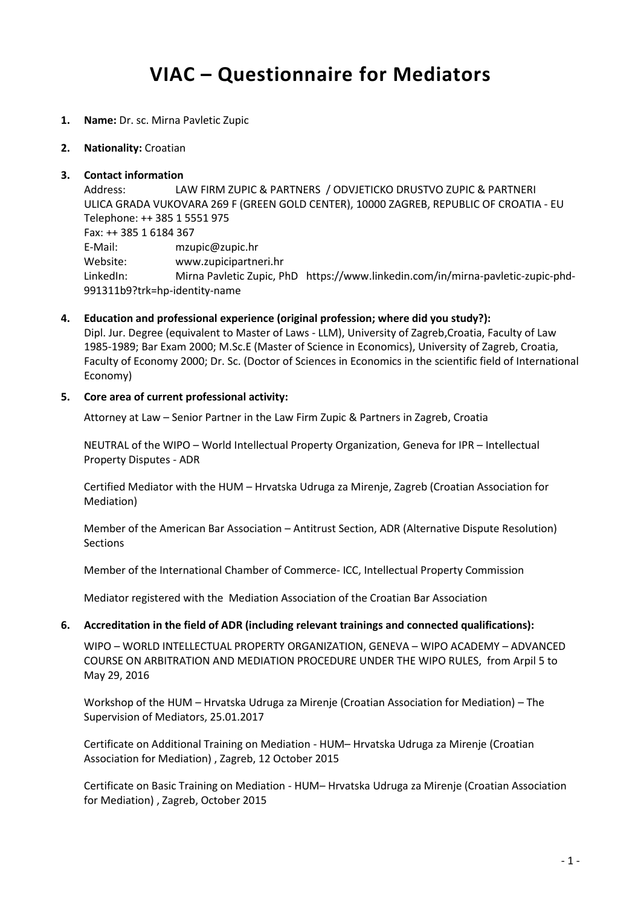# **VIAC – Questionnaire for Mediators**

- **1. Name:** Dr. sc. Mirna Pavletic Zupic
- **2. Nationality:** Croatian

#### **3. Contact information**

Address: LAW FIRM ZUPIC & PARTNERS / ODVJETICKO DRUSTVO ZUPIC & PARTNERI ULICA GRADA VUKOVARA 269 F (GREEN GOLD CENTER), 10000 ZAGREB, REPUBLIC OF CROATIA - EU Telephone: ++ 385 1 5551 975 Fax: ++ 385 1 6184 367 E-Mail: mzupic@zupic.hr Website: www.zupicipartneri.hr LinkedIn: Mirna Pavletic Zupic, PhD https://www.linkedin.com/in/mirna-pavletic-zupic-phd-991311b9?trk=hp-identity-name

**4. Education and professional experience (original profession; where did you study?):**

Dipl. Jur. Degree (equivalent to Master of Laws - LLM), University of Zagreb,Croatia, Faculty of Law 1985-1989; Bar Exam 2000; M.Sc.E (Master of Science in Economics), University of Zagreb, Croatia, Faculty of Economy 2000; Dr. Sc. (Doctor of Sciences in Economics in the scientific field of International Economy)

#### **5. Core area of current professional activity:**

Attorney at Law – Senior Partner in the Law Firm Zupic & Partners in Zagreb, Croatia

NEUTRAL of the WIPO – World Intellectual Property Organization, Geneva for IPR – Intellectual Property Disputes - ADR

Certified Mediator with the HUM – Hrvatska Udruga za Mirenje, Zagreb (Croatian Association for Mediation)

Member of the American Bar Association – Antitrust Section, ADR (Alternative Dispute Resolution) Sections

Member of the International Chamber of Commerce- ICC, Intellectual Property Commission

Mediator registered with the Mediation Association of the Croatian Bar Association

#### **6. Accreditation in the field of ADR (including relevant trainings and connected qualifications):**

WIPO – WORLD INTELLECTUAL PROPERTY ORGANIZATION, GENEVA – WIPO ACADEMY – ADVANCED COURSE ON ARBITRATION AND MEDIATION PROCEDURE UNDER THE WIPO RULES, from Arpil 5 to May 29, 2016

Workshop of the HUM – Hrvatska Udruga za Mirenje (Croatian Association for Mediation) – The Supervision of Mediators, 25.01.2017

Certificate on Additional Training on Mediation - HUM– Hrvatska Udruga za Mirenje (Croatian Association for Mediation) , Zagreb, 12 October 2015

Certificate on Basic Training on Mediation - HUM– Hrvatska Udruga za Mirenje (Croatian Association for Mediation) , Zagreb, October 2015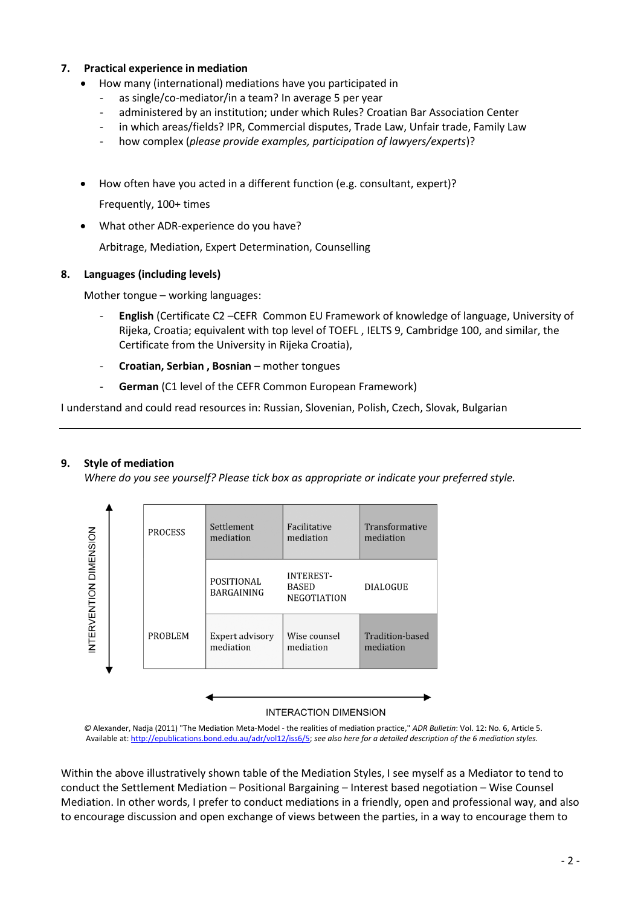# **7. Practical experience in mediation**

- How many (international) mediations have you participated in
	- as single/co-mediator/in a team? In average 5 per year
	- administered by an institution; under which Rules? Croatian Bar Association Center
	- in which areas/fields? IPR, Commercial disputes, Trade Law, Unfair trade, Family Law
	- how complex (*please provide examples, participation of lawyers/experts*)?
- How often have you acted in a different function (e.g. consultant, expert)?

Frequently, 100+ times

What other ADR-experience do you have?

Arbitrage, Mediation, Expert Determination, Counselling

# **8. Languages (including levels)**

Mother tongue – working languages:

- **English** (Certificate C2 –CEFR Common EU Framework of knowledge of language, University of Rijeka, Croatia; equivalent with top level of TOEFL , IELTS 9, Cambridge 100, and similar, the Certificate from the University in Rijeka Croatia),
- **Croatian, Serbian , Bosnian** mother tongues
- **German** (C1 level of the CEFR Common European Framework)

I understand and could read resources in: Russian, Slovenian, Polish, Czech, Slovak, Bulgarian

## **9. Style of mediation**

*Where do you see yourself? Please tick box as appropriate or indicate your preferred style.*



#### **INTERACTION DIMENSION**

*©* Alexander, Nadja (2011) "The Mediation Meta-Model - the realities of mediation practice," *ADR Bulletin*: Vol. 12: No. 6, Article 5. Available at[: http://epublications.bond.edu.au/adr/vol12/iss6/5;](http://epublications.bond.edu.au/adr/vol12/iss6/5) *see also here for a detailed description of the 6 mediation styles.*

Within the above illustratively shown table of the Mediation Styles, I see myself as a Mediator to tend to conduct the Settlement Mediation – Positional Bargaining – Interest based negotiation – Wise Counsel Mediation. In other words, I prefer to conduct mediations in a friendly, open and professional way, and also to encourage discussion and open exchange of views between the parties, in a way to encourage them to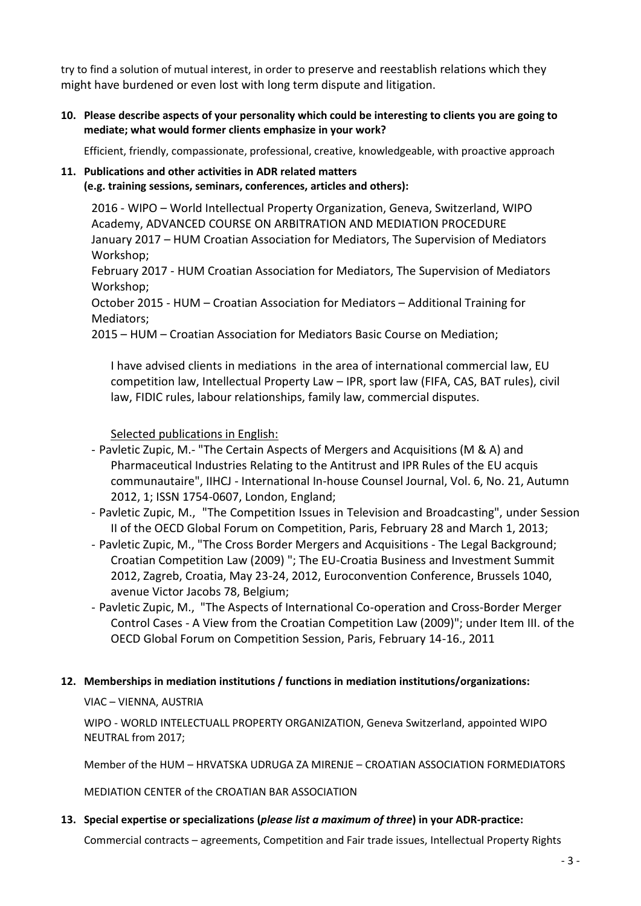try to find a solution of mutual interest, in order to preserve and reestablish relations which they might have burdened or even lost with long term dispute and litigation.

**10. Please describe aspects of your personality which could be interesting to clients you are going to mediate; what would former clients emphasize in your work?**

Efficient, friendly, compassionate, professional, creative, knowledgeable, with proactive approach

# **11. Publications and other activities in ADR related matters (e.g. training sessions, seminars, conferences, articles and others):**

2016 - WIPO – World Intellectual Property Organization, Geneva, Switzerland, WIPO Academy, ADVANCED COURSE ON ARBITRATION AND MEDIATION PROCEDURE January 2017 – HUM Croatian Association for Mediators, The Supervision of Mediators Workshop;

February 2017 - HUM Croatian Association for Mediators, The Supervision of Mediators Workshop;

October 2015 - HUM – Croatian Association for Mediators – Additional Training for Mediators;

2015 – HUM – Croatian Association for Mediators Basic Course on Mediation;

I have advised clients in mediations in the area of international commercial law, EU competition law, Intellectual Property Law – IPR, sport law (FIFA, CAS, BAT rules), civil law, FIDIC rules, labour relationships, family law, commercial disputes.

Selected publications in English:

- Pavletic Zupic, M.- "The Certain Aspects of Mergers and Acquisitions (M & A) and Pharmaceutical Industries Relating to the Antitrust and IPR Rules of the EU acquis communautaire", IIHCJ - International In-house Counsel Journal, Vol. 6, No. 21, Autumn 2012, 1; ISSN 1754-0607, London, England;
- Pavletic Zupic, M., "The Competition Issues in Television and Broadcasting", under Session II of the OECD Global Forum on Competition, Paris, February 28 and March 1, 2013;
- Pavletic Zupic, M., "The Cross Border Mergers and Acquisitions The Legal Background; Croatian Competition Law (2009) "; The EU-Croatia Business and Investment Summit 2012, Zagreb, Croatia, May 23-24, 2012, Euroconvention Conference, Brussels 1040, avenue Victor Jacobs 78, Belgium;
- Pavletic Zupic, M., "The Aspects of International Co-operation and Cross-Border Merger Control Cases - A View from the Croatian Competition Law (2009)"; under Item III. of the OECD Global Forum on Competition Session, Paris, February 14-16., 2011

# **12. Memberships in mediation institutions / functions in mediation institutions/organizations:**

## VIAC – VIENNA, AUSTRIA

WIPO - WORLD INTELECTUALL PROPERTY ORGANIZATION, Geneva Switzerland, appointed WIPO NEUTRAL from 2017;

Member of the HUM – HRVATSKA UDRUGA ZA MIRENJE – CROATIAN ASSOCIATION FORMEDIATORS

MEDIATION CENTER of the CROATIAN BAR ASSOCIATION

# **13. Special expertise or specializations (***please list a maximum of three***) in your ADR-practice:**

Commercial contracts – agreements, Competition and Fair trade issues, Intellectual Property Rights